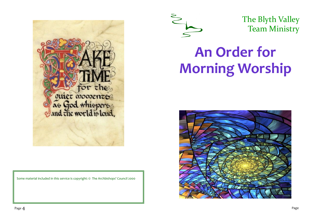

Some material included in this service is copyright: © The Archbishops' Council 2000



The Blyth Valley Team Ministry

## **An Order for Morning Worship**